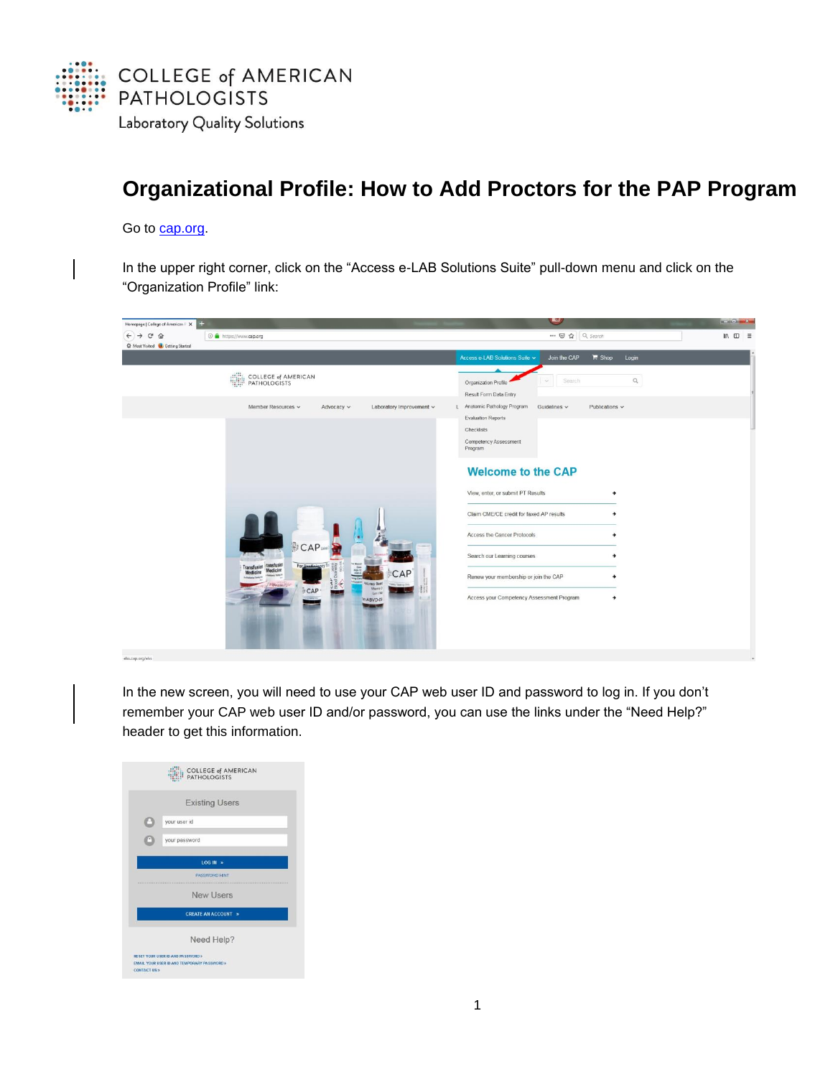

## **Organizational Profile: How to Add Proctors for the PAP Program**

## Go to **cap.org**.

In the upper right corner, click on the "Access e-LAB Solutions Suite" pull-down menu and click on the "Organization Profile" link:

| Homepage   College of American P X                  |                                                                                                                                                                                                                      | <b>BAND</b>                                                                                                                                                                                                                                                                                                                                                                                                                                  | $-10 - x -$                                 |
|-----------------------------------------------------|----------------------------------------------------------------------------------------------------------------------------------------------------------------------------------------------------------------------|----------------------------------------------------------------------------------------------------------------------------------------------------------------------------------------------------------------------------------------------------------------------------------------------------------------------------------------------------------------------------------------------------------------------------------------------|---------------------------------------------|
| $\leftrightarrow$ $\leftrightarrow$ $\circ$ $\circ$ | <b>O</b> A https://www.cap.org                                                                                                                                                                                       | … ◎ ☆ Q Search                                                                                                                                                                                                                                                                                                                                                                                                                               | $\blacksquare \quad \blacksquare \quad \Xi$ |
| <b>C</b> Most Visited <b>C</b> Getting Started      |                                                                                                                                                                                                                      |                                                                                                                                                                                                                                                                                                                                                                                                                                              |                                             |
|                                                     |                                                                                                                                                                                                                      | Access e-LAB Solutions Suite v<br>$\mathbb{H}$ Shop<br>Join the CAP<br>Login                                                                                                                                                                                                                                                                                                                                                                 |                                             |
|                                                     | COLLEGE of AMERICAN                                                                                                                                                                                                  | $\hbox{\ensuremath{\mathcal{Q}}\xspace}$<br>Search<br>Organization Profile<br>Result Form Data Entry                                                                                                                                                                                                                                                                                                                                         |                                             |
|                                                     | Member Resources v<br>Laboratory Improvement v<br>Advocacy v<br>CAP <sub>um</sub><br>Transfusion ransfusion<br>For D<br>CAP<br>Medicine<br><b>Director River</b><br><b>Ofmicray</b><br>CAP<br>Lot 1748<br>in ABVD-07 | Anatomic Pathology Program<br>Guidelines $\backsim$<br>Publications v<br><b>Evaluation Reports</b><br>Checklists<br>Competency Assessment<br>Program<br><b>Welcome to the CAP</b><br>View, enter, or submit PT Results<br>→<br>Claim CME/CE credit for faxed AP results<br>Access the Cancer Protocols<br>Search our Learning courses<br>Renew your membership or join the CAP<br>Access your Competency Assessment Program<br>$\rightarrow$ |                                             |
| elss.cap.org/elss                                   |                                                                                                                                                                                                                      |                                                                                                                                                                                                                                                                                                                                                                                                                                              |                                             |

In the new screen, you will need to use your CAP web user ID and password to log in. If you don't remember your CAP web user ID and/or password, you can use the links under the "Need Help?" header to get this information.

| <b>COLLEGE of AMERICAN</b><br><b>PATHOLOGISTS</b> |
|---------------------------------------------------|
| <b>Existing Users</b>                             |
| your user id                                      |
| your password                                     |
| $LOG IN \Rightarrow$                              |
| PASSWORD HINT<br>-------------------------        |
| New Users                                         |
| <b>CREATE AN ACCOUNT &gt;</b>                     |
| Need Help?                                        |
| RESET YOUR USER ID AND PASSWORD >                 |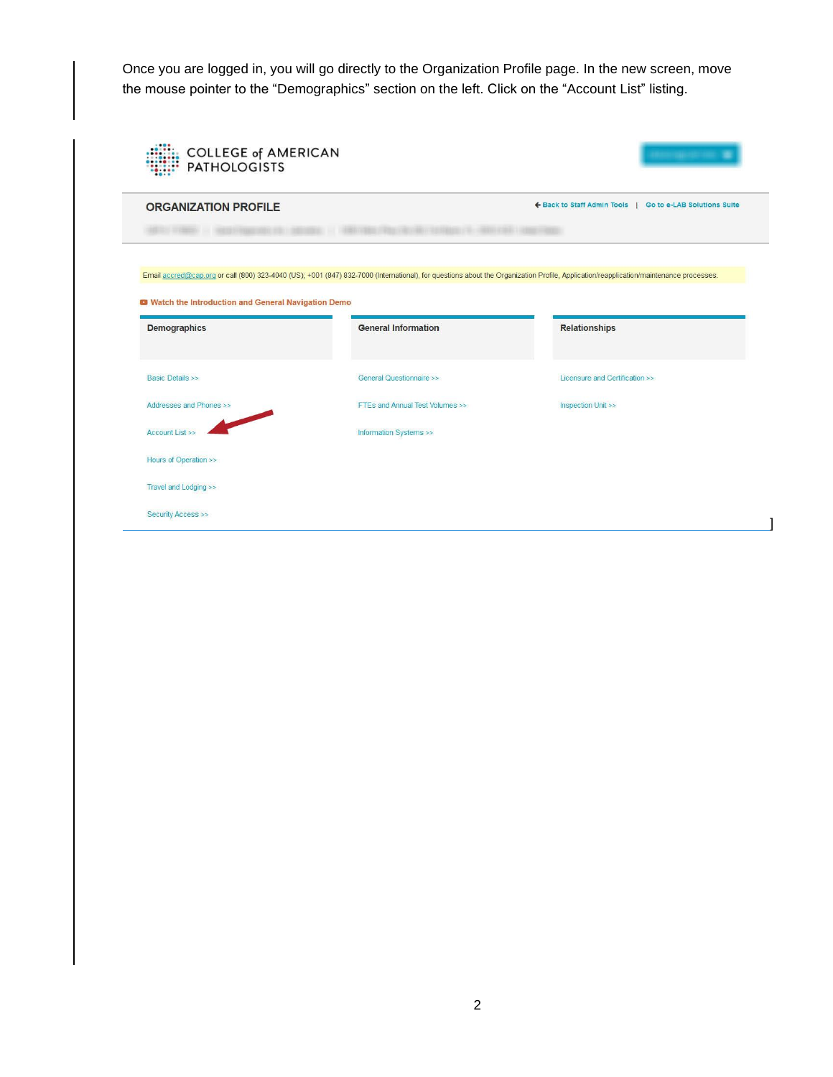Once you are logged in, you will go directly to the Organization Profile page. In the new screen, move the mouse pointer to the "Demographics" section on the left. Click on the "Account List" listing.

| <b>ORGANIZATION PROFILE</b>                                     |                                                                                                                                                                                       | ← Back to Staff Admin Tools  <br>Go to e-LAB Solutions Suite |
|-----------------------------------------------------------------|---------------------------------------------------------------------------------------------------------------------------------------------------------------------------------------|--------------------------------------------------------------|
|                                                                 |                                                                                                                                                                                       |                                                              |
|                                                                 | Email accred@cap.org or call (800) 323-4040 (US); +001 (847) 832-7000 (International), for questions about the Organization Profile, Application/reapplication/maintenance processes. |                                                              |
| <sup>1</sup> Watch the Introduction and General Navigation Demo |                                                                                                                                                                                       |                                                              |
|                                                                 |                                                                                                                                                                                       |                                                              |
| <b>Demographics</b>                                             | <b>General Information</b>                                                                                                                                                            | <b>Relationships</b>                                         |
| <b>Basic Details &gt;&gt;</b>                                   | General Questionnaire >>                                                                                                                                                              | Licensure and Certification >>                               |
| Addresses and Phones >>                                         | FTEs and Annual Test Volumes >>                                                                                                                                                       | <b>Inspection Unit &gt;&gt;</b>                              |
| Account List >>                                                 | Information Systems >>                                                                                                                                                                |                                                              |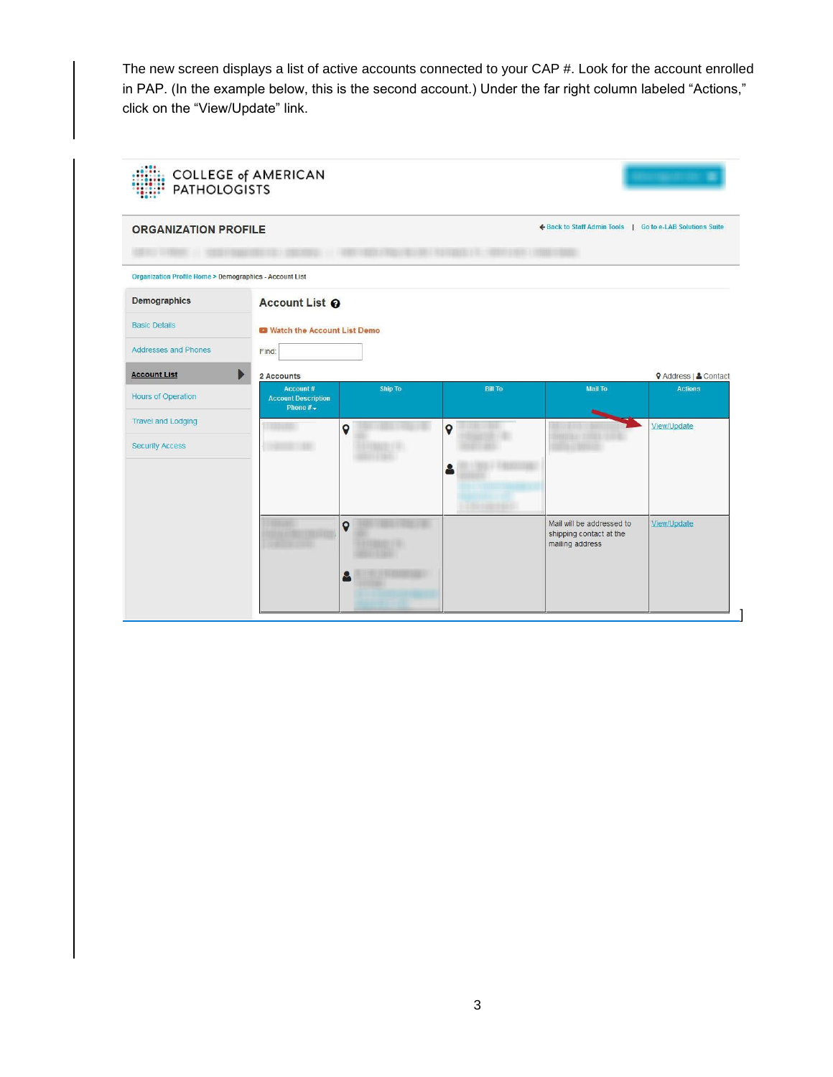The new screen displays a list of active accounts connected to your CAP #. Look for the account enrolled in PAP. (In the example below, this is the second account.) Under the far right column labeled "Actions," click on the "View/Update" link.

| <b>ORGANIZATION PROFILE</b>                                       |                                                              |             |                         | ← Back to Staff Admin Tools   Go to e-LAB Solutions Suite |                              |
|-------------------------------------------------------------------|--------------------------------------------------------------|-------------|-------------------------|-----------------------------------------------------------|------------------------------|
| <b>Organization Profile Home &gt; Demographics - Account List</b> |                                                              |             |                         |                                                           |                              |
| <b>Demographics</b>                                               | Account List <sup>O</sup>                                    |             |                         |                                                           |                              |
| <b>Basic Details</b>                                              | <b>12 Watch the Account List Demo</b>                        |             |                         |                                                           |                              |
| <b>Addresses and Phones</b>                                       | Find:                                                        |             |                         |                                                           |                              |
| <b>Account List</b>                                               | b<br>2 Accounts                                              |             |                         |                                                           | <b>9</b> Address   & Contact |
| Hours of Operation                                                | Account#<br><b>Account Description</b><br>Phone $#_{\nabla}$ | Ship To     | <b>Bill To</b>          | Mail To                                                   | <b>Actions</b>               |
| <b>Travel and Lodging</b>                                         |                                                              | $\mathbf Q$ | $\circ$                 |                                                           | View/Update                  |
| <b>Security Access</b>                                            |                                                              |             |                         |                                                           |                              |
|                                                                   |                                                              |             |                         |                                                           |                              |
|                                                                   |                                                              |             |                         |                                                           |                              |
|                                                                   |                                                              |             | <b>Like control and</b> | Mail will be addressed to                                 | View/Update                  |
|                                                                   |                                                              |             |                         |                                                           |                              |
|                                                                   |                                                              | $\mathbf Q$ |                         | shipping contact at the<br>mailing address                |                              |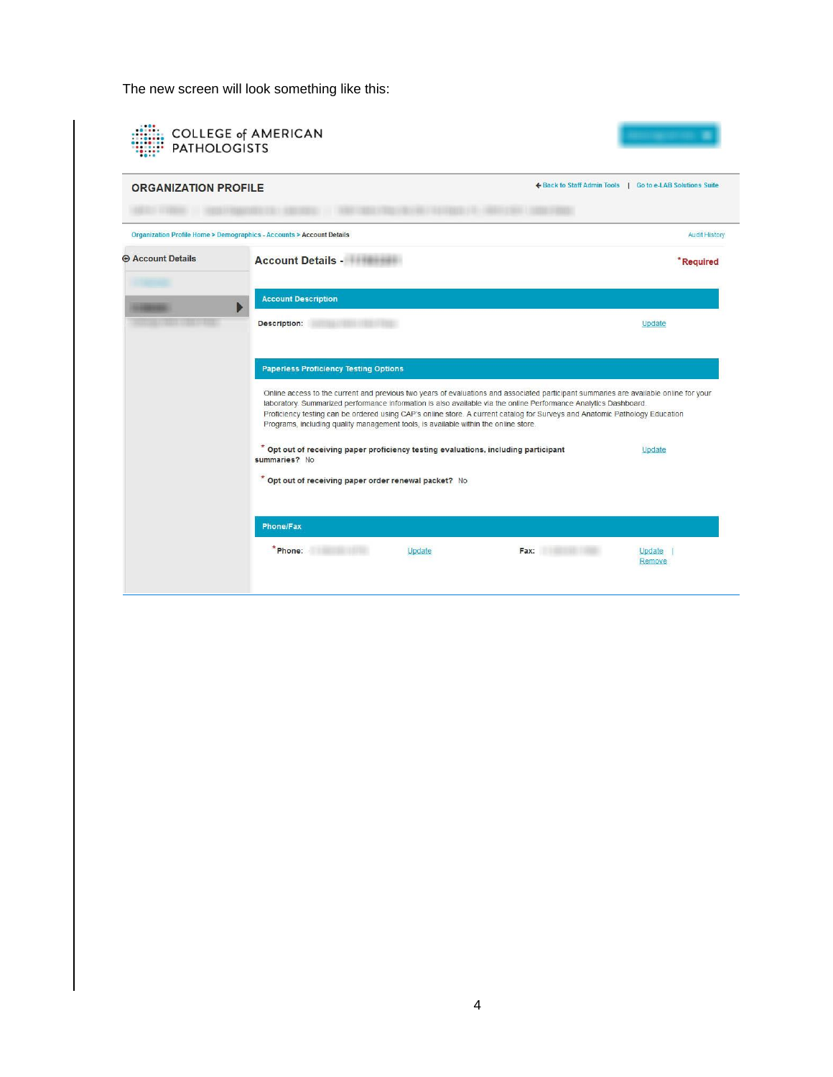The new screen will look something like this:

| <b>ORGANIZATION PROFILE</b> |                                                                                                                                                                                                                                                                                                                                                                                                                                                                                 | ← Back to Staff Admin Tools   Go to e-LAB Solutions Suite |                      |
|-----------------------------|---------------------------------------------------------------------------------------------------------------------------------------------------------------------------------------------------------------------------------------------------------------------------------------------------------------------------------------------------------------------------------------------------------------------------------------------------------------------------------|-----------------------------------------------------------|----------------------|
|                             | Organization Profile Home > Demographics - Accounts > Account Details                                                                                                                                                                                                                                                                                                                                                                                                           |                                                           | <b>Audit History</b> |
| <b>E Account Details</b>    | <b>Account Details - Account Details - Account Details</b>                                                                                                                                                                                                                                                                                                                                                                                                                      |                                                           | *Required            |
|                             | <b>Account Description</b>                                                                                                                                                                                                                                                                                                                                                                                                                                                      |                                                           |                      |
|                             | Description:                                                                                                                                                                                                                                                                                                                                                                                                                                                                    |                                                           | Update               |
|                             | <b>Paperless Proficiency Testing Options</b>                                                                                                                                                                                                                                                                                                                                                                                                                                    |                                                           |                      |
|                             | Online access to the current and previous two years of evaluations and associated participant summaries are available online for your<br>laboratory. Summarized performance information is also available via the online Performance Analytics Dashboard.<br>Proficiency testing can be ordered using CAP's online store. A current catalog for Surveys and Anatomic Pathology Education<br>Programs, including quality management tools, is available within the online store. |                                                           |                      |
|                             | * Opt out of receiving paper proficiency testing evaluations, including participant<br>summaries? No                                                                                                                                                                                                                                                                                                                                                                            |                                                           | Update               |
|                             | * Opt out of receiving paper order renewal packet? No                                                                                                                                                                                                                                                                                                                                                                                                                           |                                                           |                      |
|                             |                                                                                                                                                                                                                                                                                                                                                                                                                                                                                 |                                                           |                      |
|                             | <b>Phone/Fax</b>                                                                                                                                                                                                                                                                                                                                                                                                                                                                |                                                           |                      |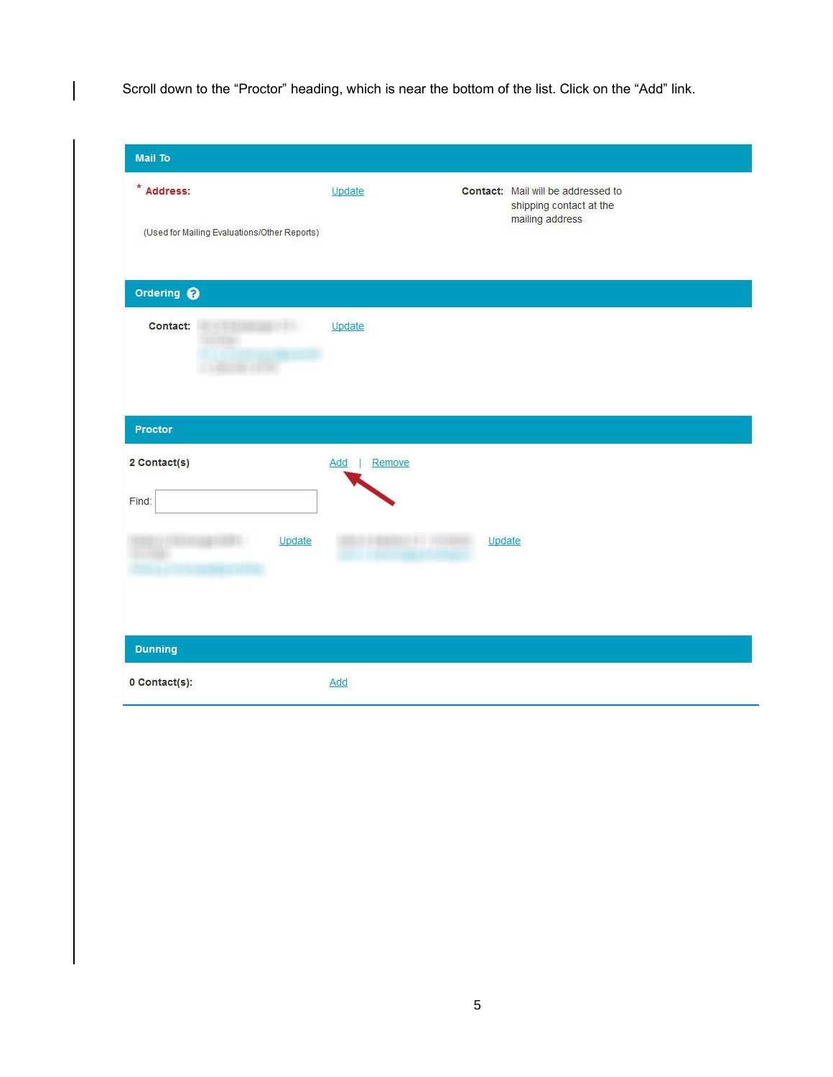Scroll down to the "Proctor" heading, which is near the bottom of the list. Click on the "Add" link.

| Mail To                                                    |               |                               |                                                                                  |
|------------------------------------------------------------|---------------|-------------------------------|----------------------------------------------------------------------------------|
| * Address:<br>(Used for Mailing Evaluations/Other Reports) | Update        |                               | Contact: Mail will be addressed to<br>shipping contact at the<br>mailing address |
| Ordering @                                                 |               |                               |                                                                                  |
| Contact:                                                   | Update        |                               |                                                                                  |
| Proctor                                                    |               |                               |                                                                                  |
| 2 Contact(s)<br>Find:                                      | Remove<br>Add |                               |                                                                                  |
| Update<br>m                                                |               | Update<br><b>FRIDAY CLOSE</b> |                                                                                  |
| <b>Dunning</b>                                             |               |                               |                                                                                  |
| 0 Contact(s):                                              | Add           |                               |                                                                                  |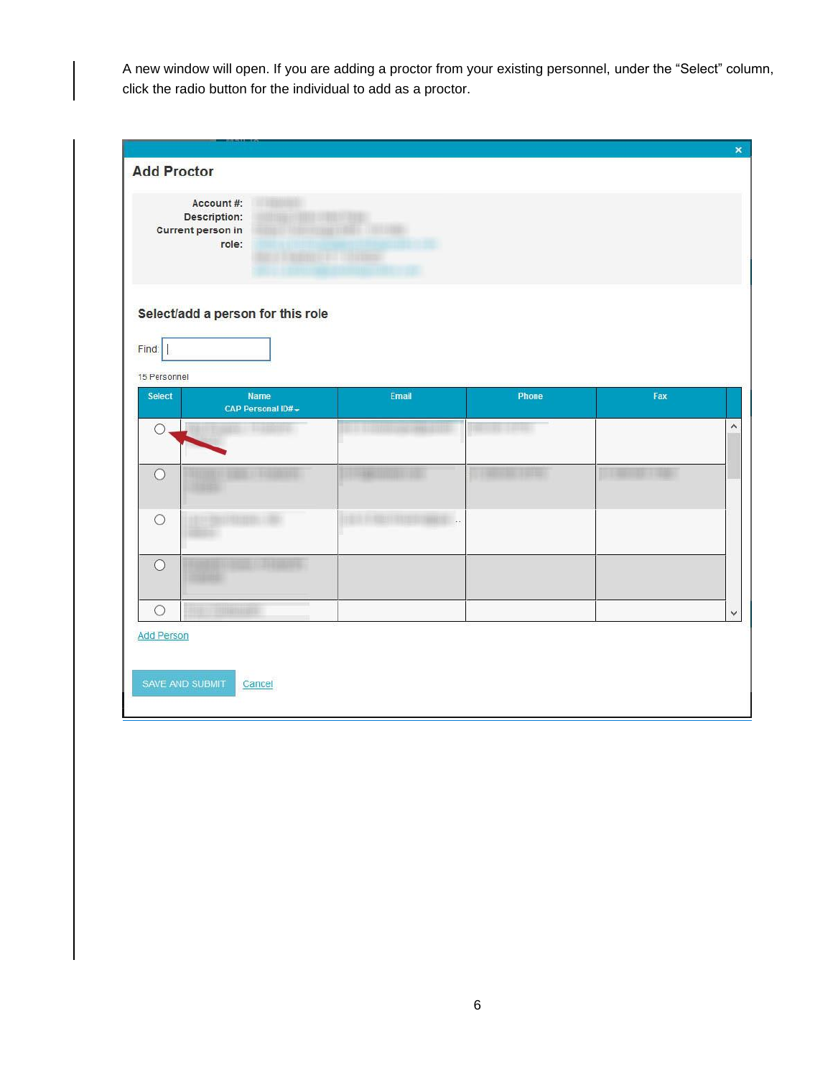A new window will open. If you are adding a proctor from your existing personnel, under the "Select" column, click the radio button for the individual to add as a proctor.

| <b>Add Proctor</b>                              |                                                  |                             |              |     |  |
|-------------------------------------------------|--------------------------------------------------|-----------------------------|--------------|-----|--|
| Account #:<br>Description:<br>Current person in | <b>ENTERNATION</b><br><b>STATISTICS</b><br>role: | <b>Landing Card Studies</b> |              |     |  |
| Find:                                           | Select/add a person for this role                |                             |              |     |  |
| 15 Personnel                                    |                                                  |                             |              |     |  |
| Select                                          | <b>Name</b><br>CAP Personal ID#-                 | Email                       | <b>Phone</b> | Fax |  |
| $\bigcirc$                                      |                                                  |                             |              |     |  |
| $\circ$                                         |                                                  |                             |              |     |  |
| $\circ$                                         |                                                  |                             |              |     |  |
| $\circ$                                         |                                                  |                             |              |     |  |
| $\circ$                                         |                                                  |                             |              |     |  |
| <b>Add Person</b>                               |                                                  |                             |              |     |  |
| SAVE AND SUBMIT                                 | Cancel                                           |                             |              |     |  |
|                                                 |                                                  |                             |              |     |  |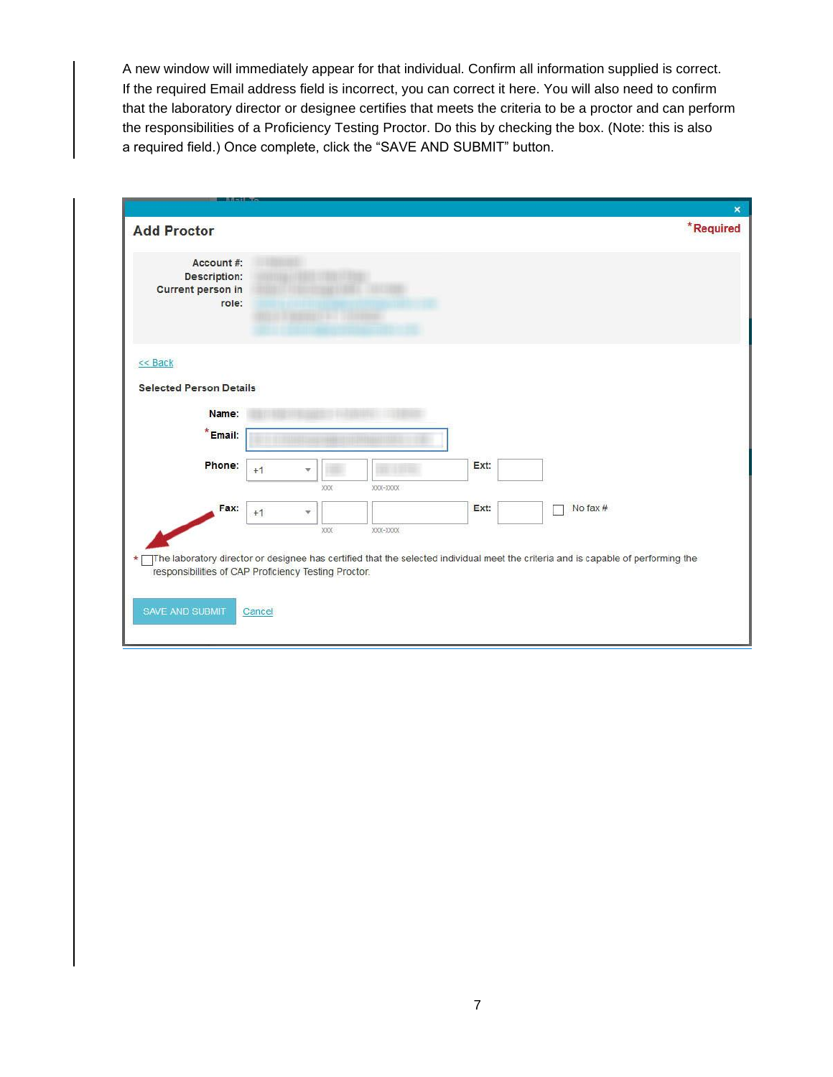A new window will immediately appear for that individual. Confirm all information supplied is correct. If the required Email address field is incorrect, you can correct it here. You will also need to confirm that the laboratory director or designee certifies that meets the criteria to be a proctor and can perform the responsibilities of a Proficiency Testing Proctor. Do this by checking the box. (Note: this is also a required field.) Once complete, click the "SAVE AND SUBMIT" button.

|                                                                 |        |           |          |      |                                                                                                                                   | $\boldsymbol{\mathsf{x}}$ |
|-----------------------------------------------------------------|--------|-----------|----------|------|-----------------------------------------------------------------------------------------------------------------------------------|---------------------------|
| <b>Add Proctor</b>                                              |        |           |          |      |                                                                                                                                   | *Required                 |
| Account#:<br><b>Description:</b><br>Current person in<br>role:  |        |           |          |      |                                                                                                                                   |                           |
| $<<$ Back<br><b>Selected Person Details</b>                     |        |           |          |      |                                                                                                                                   |                           |
|                                                                 |        |           |          |      |                                                                                                                                   |                           |
| Name:                                                           |        |           |          |      |                                                                                                                                   |                           |
| $*Email:$                                                       |        |           |          |      |                                                                                                                                   |                           |
| Phone:                                                          | $+1$   | v         |          | Ext: |                                                                                                                                   |                           |
|                                                                 |        | XXX       | XXX-XXXX |      |                                                                                                                                   |                           |
| Fax:                                                            | $+1$   | $\forall$ |          | Ext: | No fax $#$                                                                                                                        |                           |
|                                                                 |        | XXX       | XXX-XXXX |      |                                                                                                                                   |                           |
| $\star$<br>responsibilities of CAP Proficiency Testing Proctor. |        |           |          |      | The laboratory director or designee has certified that the selected individual meet the criteria and is capable of performing the |                           |
| SAVE AND SUBMIT                                                 | Cancel |           |          |      |                                                                                                                                   |                           |
|                                                                 |        |           |          |      |                                                                                                                                   |                           |